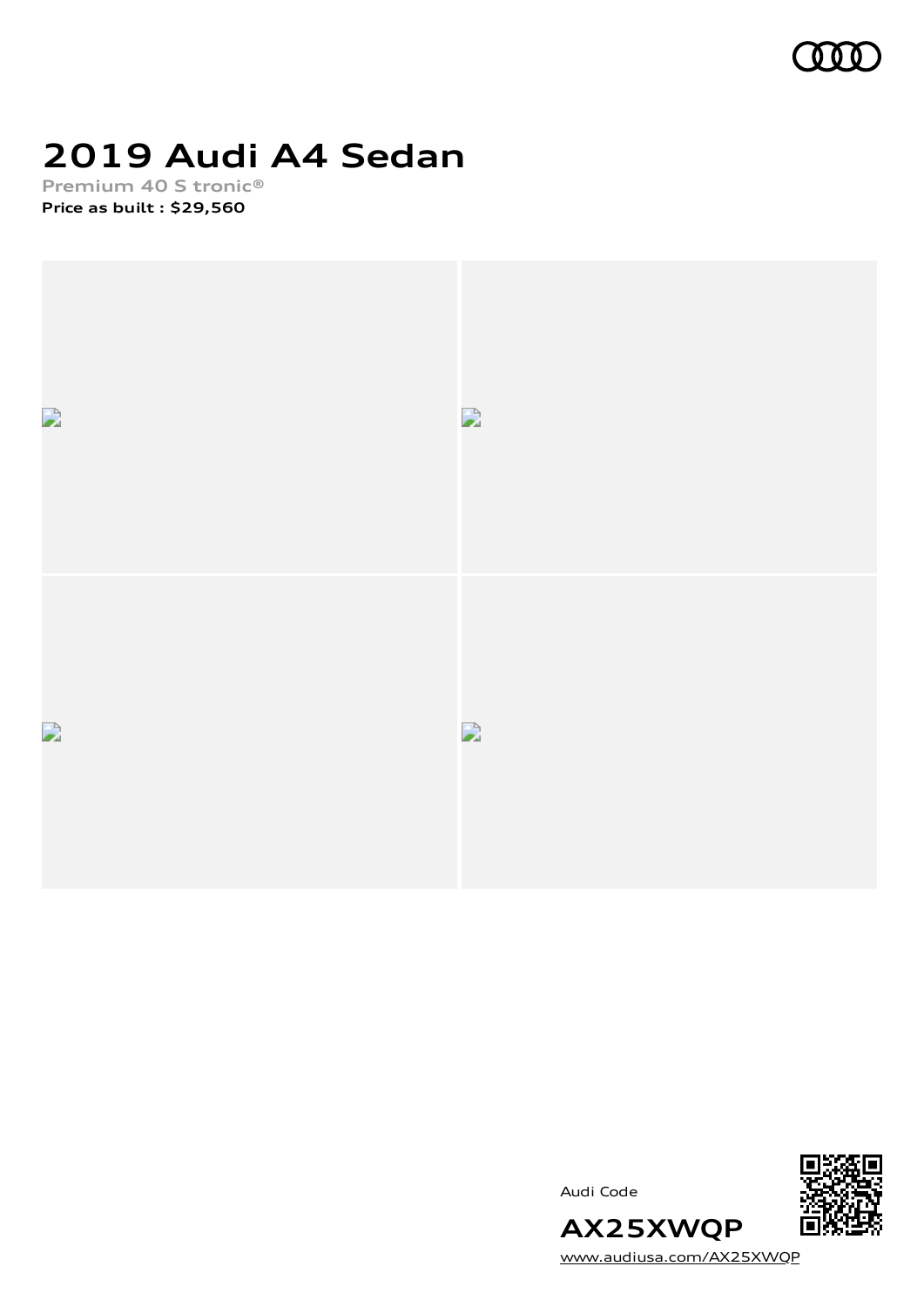

# **2019 Audi A4 Sedan**

**Premium 40 S tronic® Price as built [:](#page-9-0) \$29,560**







[www.audiusa.com/AX25XWQP](https://www.audiusa.com/AX25XWQP)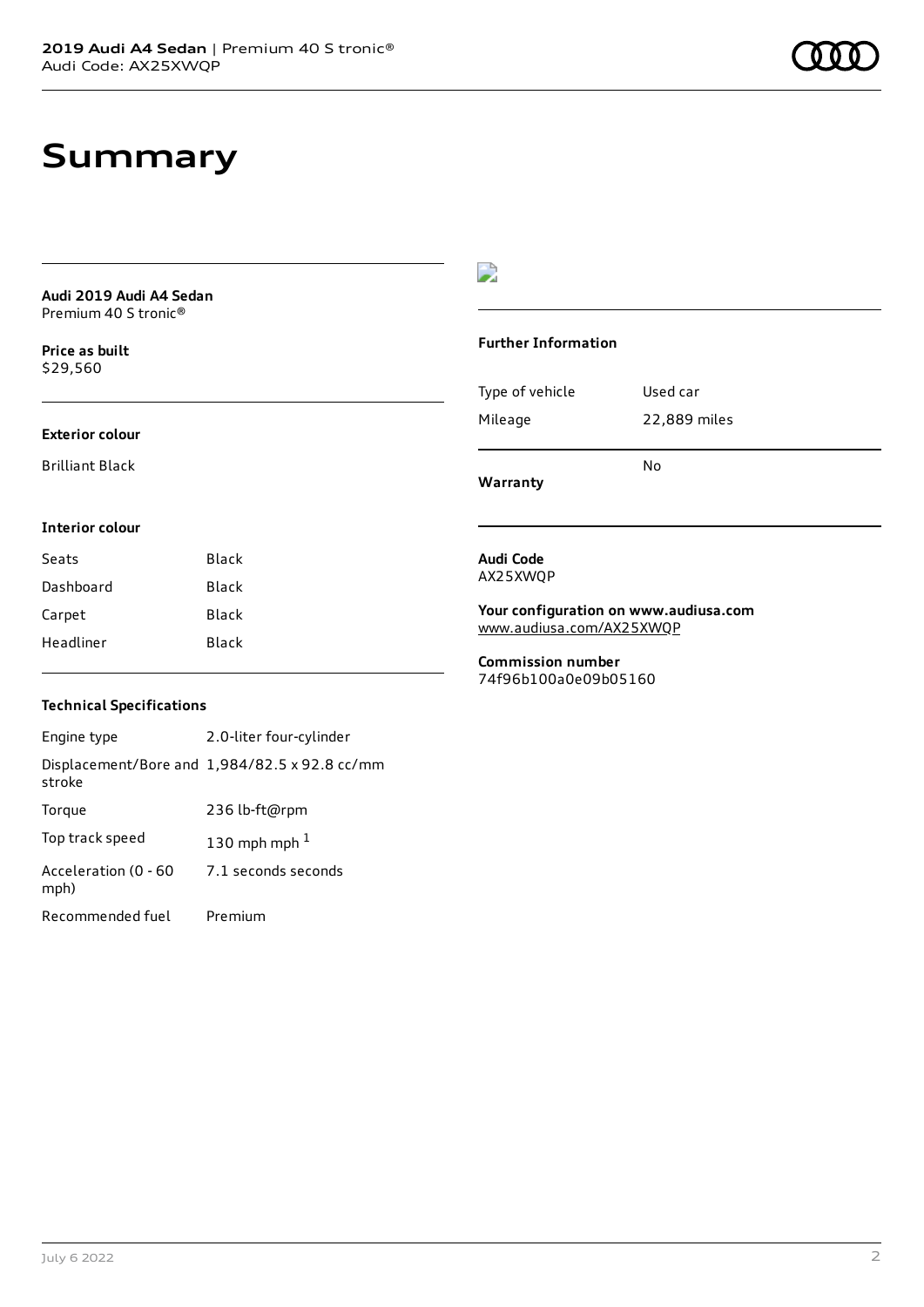# **Summary**

| Audi 2019 Audi A4 Sedan |  |
|-------------------------|--|
| Premium 40 S tronic®    |  |

**Price as buil[t](#page-9-0)** \$29,560

### **Exterior colour**

Brilliant Black

# D

### **Further Information**

|                 | N٥           |
|-----------------|--------------|
| Mileage         | 22,889 miles |
| Type of vehicle | Used car     |

**Warranty**

### **Interior colour**

| Black<br>Seats |       |
|----------------|-------|
| Dashboard      | Black |
| Carpet         | Black |
| Headliner      | Black |

### **Audi Code** AX25XWQP

**Your configuration on www.audiusa.com** [www.audiusa.com/AX25XWQP](https://www.audiusa.com/AX25XWQP)

**Commission number** 74f96b100a0e09b05160

# **Technical Specifications**

Engine type 2.0-liter four-cylinder Displacement/Bore and 1,984/82.5 x 92.8 cc/mm stroke Torque 236 lb-ft@rpm Top track speed  $130$  $130$  mph mph  $^{\rm 1}$ Acceleration (0 - 60 mph) 7.1 seconds seconds Recommended fuel Premium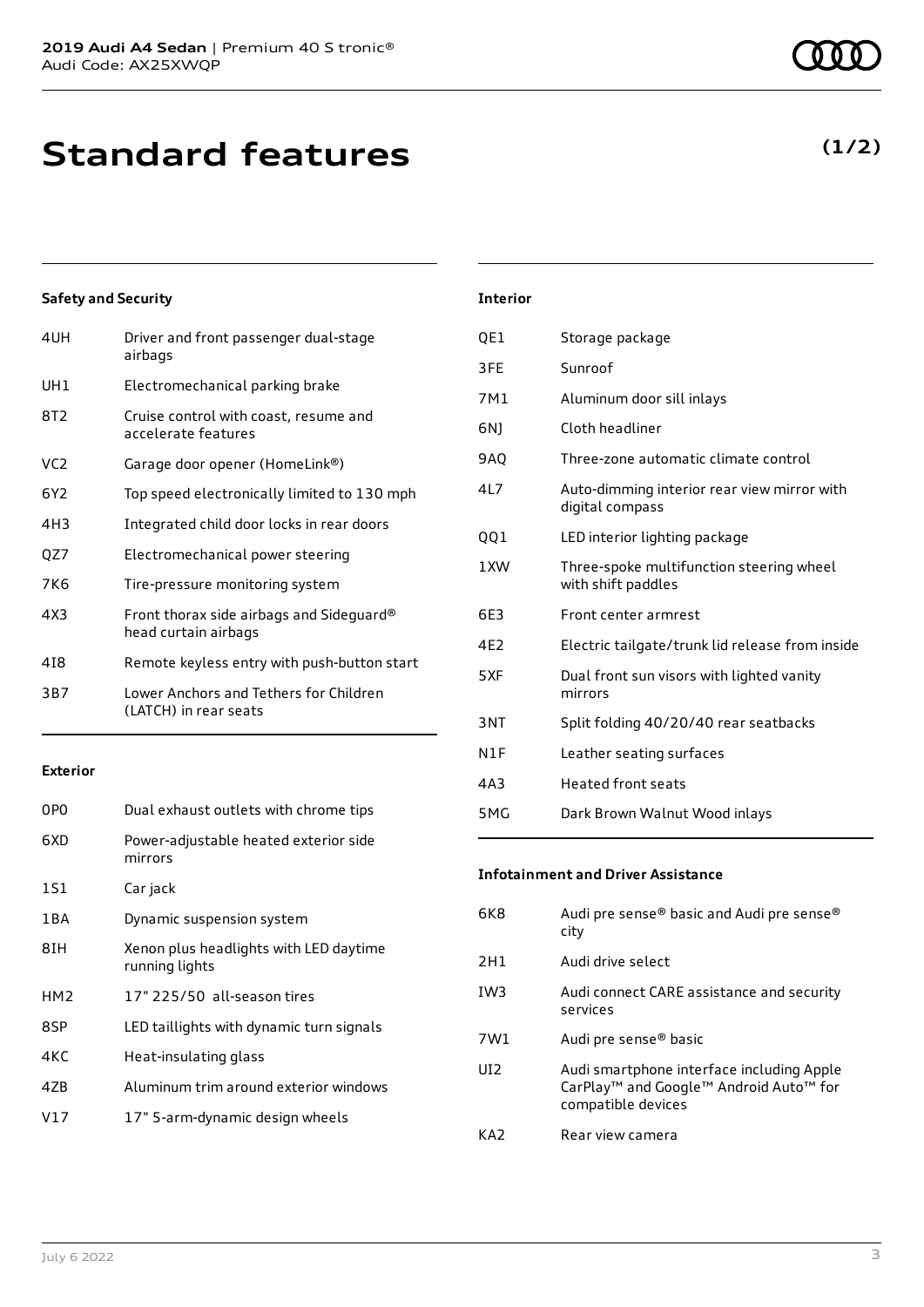**Standard features**

# **Safety and Security**

| 4UH | Driver and front passenger dual-stage<br>airbags                 |
|-----|------------------------------------------------------------------|
| UH1 | Electromechanical parking brake                                  |
| 8T2 | Cruise control with coast, resume and<br>accelerate features     |
| VC2 | Garage door opener (HomeLink®)                                   |
| 6Y2 | Top speed electronically limited to 130 mph                      |
| 4H3 | Integrated child door locks in rear doors                        |
| QZ7 | Electromechanical power steering                                 |
| 7K6 | Tire-pressure monitoring system                                  |
| 4X3 | Front thorax side airbags and Sideguard®<br>head curtain airbags |
| 418 | Remote keyless entry with push-button start                      |
| 3B7 | Lower Anchors and Tethers for Children<br>(LATCH) in rear seats  |
|     |                                                                  |

#### **Exterior**

| 0P <sub>0</sub> | Dual exhaust outlets with chrome tips                    |
|-----------------|----------------------------------------------------------|
| 6XD             | Power-adjustable heated exterior side<br>mirrors         |
| 1S1             | Car jack                                                 |
| 1 B A           | Dynamic suspension system                                |
| 8IH             | Xenon plus headlights with LED daytime<br>running lights |
| HM <sub>2</sub> | 17" 225/50 all-season tires                              |
| 8SP             | LED taillights with dynamic turn signals                 |
| 4KC             | Heat-insulating glass                                    |
| 47 <sub>B</sub> | Aluminum trim around exterior windows                    |
| V17             | 17" 5-arm-dynamic design wheels                          |
|                 |                                                          |

# **Interior**

| QE1 | Storage package                                                |
|-----|----------------------------------------------------------------|
| 3FE | Sunroof                                                        |
| 7M1 | Aluminum door sill inlays                                      |
| 6N) | Cloth headliner                                                |
| 9AQ | Three-zone automatic climate control                           |
| 4L7 | Auto-dimming interior rear view mirror with<br>digital compass |
| QQ1 | LED interior lighting package                                  |
| 1XW | Three-spoke multifunction steering wheel<br>with shift paddles |
| 6E3 | Front center armrest                                           |
| 4E2 | Electric tailgate/trunk lid release from inside                |
| 5XF | Dual front sun visors with lighted vanity<br>mirrors           |
| 3NT | Split folding 40/20/40 rear seatbacks                          |
| N1F | Leather seating surfaces                                       |
| 4A3 | <b>Heated front seats</b>                                      |
| 5MG | Dark Brown Walnut Wood inlays                                  |

# **Infotainment and Driver Assistance**

| 6K8             | Audi pre sense® basic and Audi pre sense®<br>city                                                                                             |
|-----------------|-----------------------------------------------------------------------------------------------------------------------------------------------|
| 2H1             | Audi drive select                                                                                                                             |
| IW <sub>3</sub> | Audi connect CARE assistance and security<br>services                                                                                         |
| 7W1             | Audi pre sense <sup>®</sup> basic                                                                                                             |
| UI <sub>2</sub> | Audi smartphone interface including Apple<br>CarPlay <sup>™</sup> and Google <sup>™</sup> Android Auto <sup>™</sup> for<br>compatible devices |
| KA <sub>2</sub> | Rear view camera                                                                                                                              |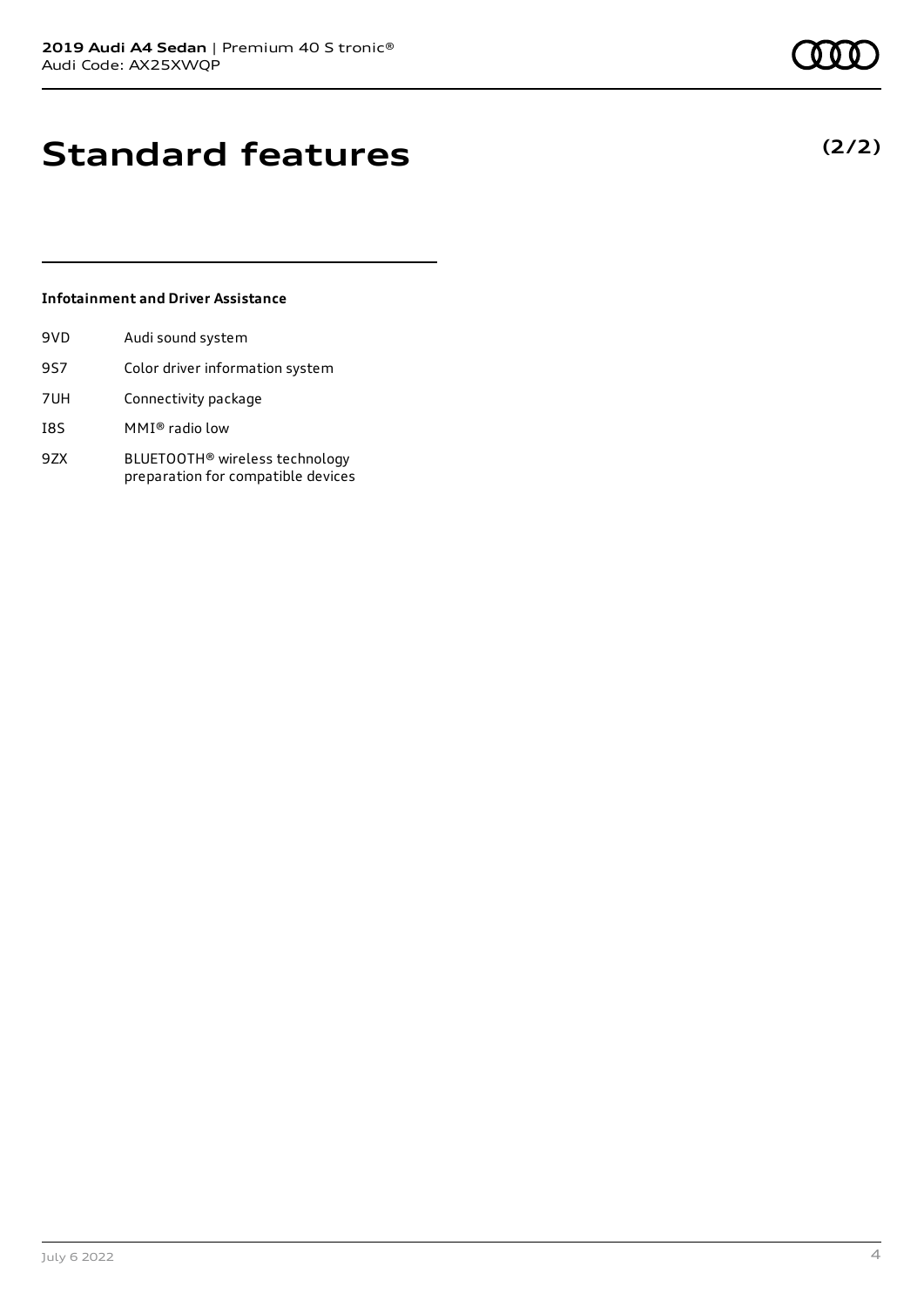**(2/2)**

# **Standard features**

# **Infotainment and Driver Assistance**

| 9VD | Audi sound system                                                    |
|-----|----------------------------------------------------------------------|
| 9S7 | Color driver information system                                      |
| 7UH | Connectivity package                                                 |
| I8S | MMI® radio low                                                       |
| 9ZX | BLUETOOTH® wireless technology<br>preparation for compatible devices |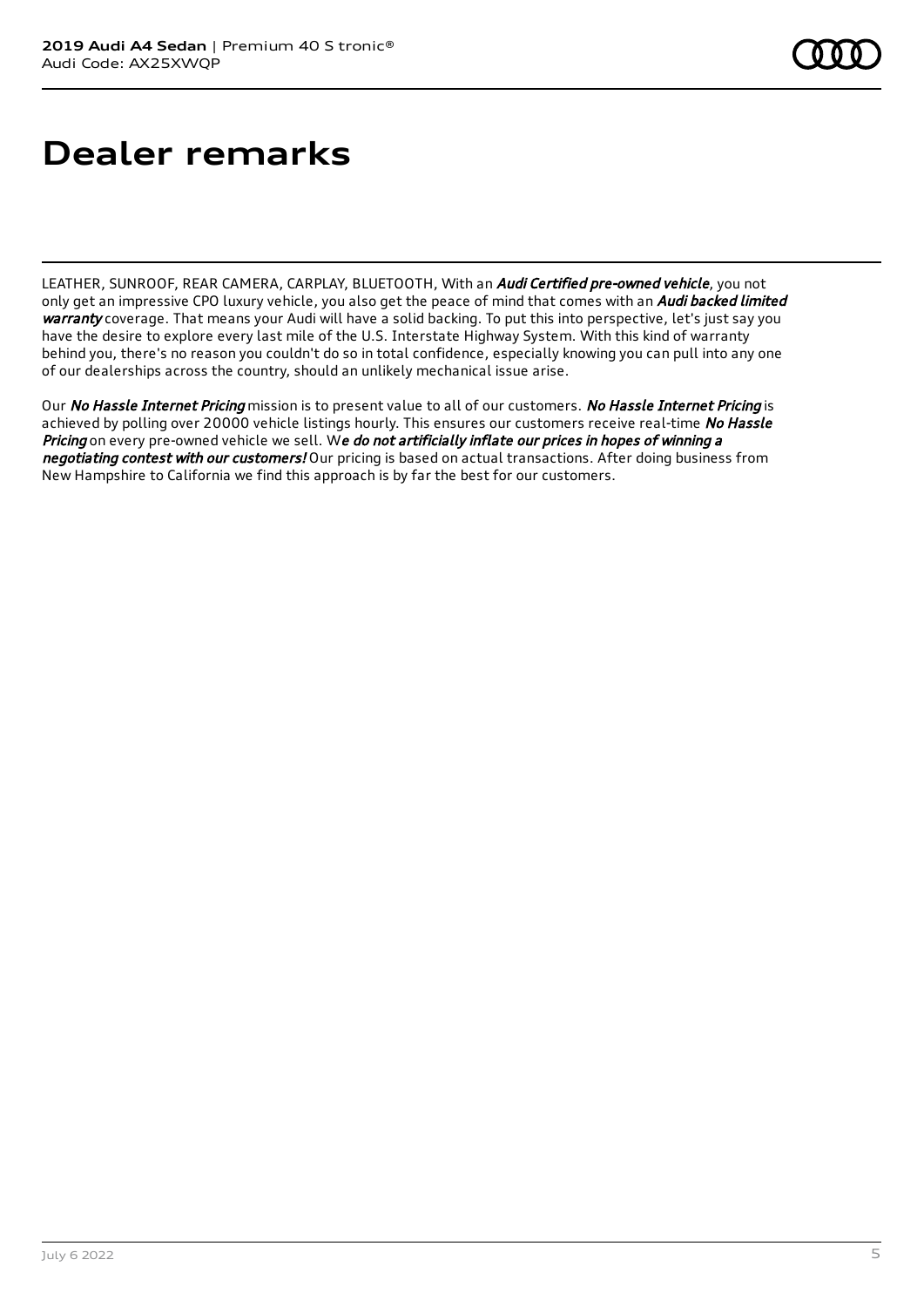# **Dealer remarks**

LEATHER, SUNROOF, REAR CAMERA, CARPLAY, BLUETOOTH, With an *Audi Certified pre-owned vehicle*, you not only get an impressive CPO luxury vehicle, you also get the peace of mind that comes with an Audi backed limited warranty coverage. That means your Audi will have a solid backing. To put this into perspective, let's just say you have the desire to explore every last mile of the U.S. Interstate Highway System. With this kind of warranty behind you, there's no reason you couldn't do so in total confidence, especially knowing you can pull into any one of our dealerships across the country, should an unlikely mechanical issue arise.

Our No Hassle Internet Pricing mission is to present value to all of our customers. No Hassle Internet Pricing is achieved by polling over 20000 vehicle listings hourly. This ensures our customers receive real-time No Hassle Pricing on every pre-owned vehicle we sell. We do not artificially inflate our prices in hopes of winning a negotiating contest with our customers! Our pricing is based on actual transactions. After doing business from New Hampshire to California we find this approach is by far the best for our customers.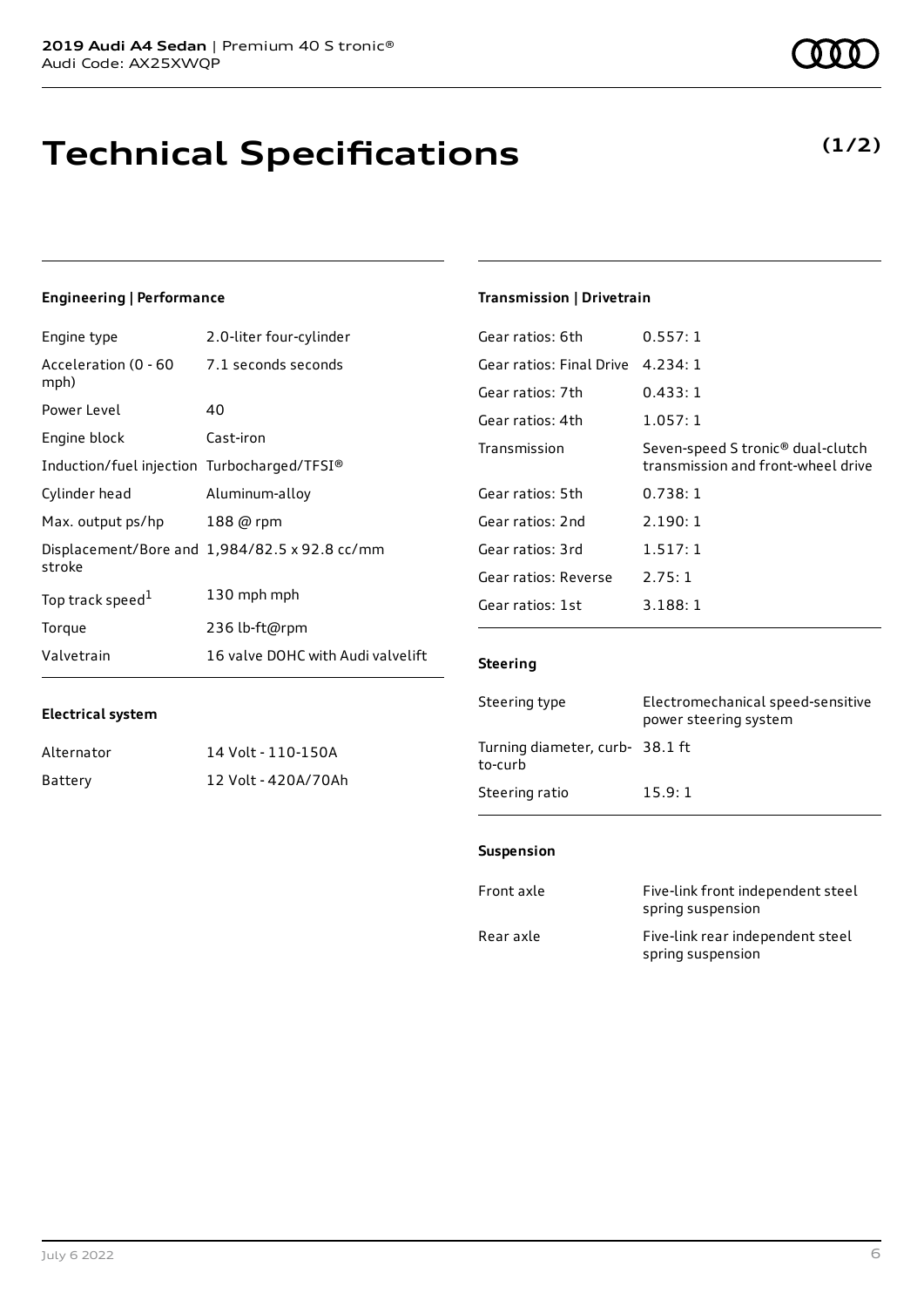# **Technical Specifications**

# **Engineering | Performance**

**Electrical system**

| Engine type                                 | 2.0-liter four-cylinder                       |
|---------------------------------------------|-----------------------------------------------|
| Acceleration (0 - 60<br>mph)                | 7.1 seconds seconds                           |
| Power Level                                 | 40                                            |
| Engine block                                | Cast-iron                                     |
| Induction/fuel injection Turbocharged/TFSI® |                                               |
| Cylinder head                               | Aluminum-alloy                                |
| Max. output ps/hp                           | 188 @ rpm                                     |
| stroke                                      | Displacement/Bore and 1,984/82.5 x 92.8 cc/mm |
| Top track speed <sup>1</sup>                | 130 mph mph                                   |
| Torque                                      | 236 lb-ft@rpm                                 |
| Valvetrain                                  | 16 valve DOHC with Audi valvelift             |

Alternator 14 Volt - 110-150A Battery 12 Volt - 420A/70Ah

# **Transmission | Drivetrain**

| Gear ratios: 6th         | 0.557:1                                                                             |
|--------------------------|-------------------------------------------------------------------------------------|
| Gear ratios: Final Drive | 4.234:1                                                                             |
| Gear ratios: 7th         | 0.433:1                                                                             |
| Gear ratios: 4th         | 1.057:1                                                                             |
| Transmission             | Seven-speed S tronic <sup>®</sup> dual-clutch<br>transmission and front-wheel drive |
| Gear ratios: 5th         | 0.738:1                                                                             |
| Gear ratios: 2nd         | 2.190:1                                                                             |
| Gear ratios: 3rd         | 1.517:1                                                                             |
| Gear ratios: Reverse     | 2.75:1                                                                              |
| Gear ratios: 1st         | 3.188:1                                                                             |
|                          |                                                                                     |

### **Steering**

| Steering type                             | Electromechanical speed-sensitive<br>power steering system |
|-------------------------------------------|------------------------------------------------------------|
| Turning diameter, curb-38.1 ft<br>to-curb |                                                            |
| Steering ratio                            | 15.9:1                                                     |

### **Suspension**

| Front axle | Five-link front independent steel<br>spring suspension |
|------------|--------------------------------------------------------|
| Rear axle  | Five-link rear independent steel<br>spring suspension  |

# **(1/2)**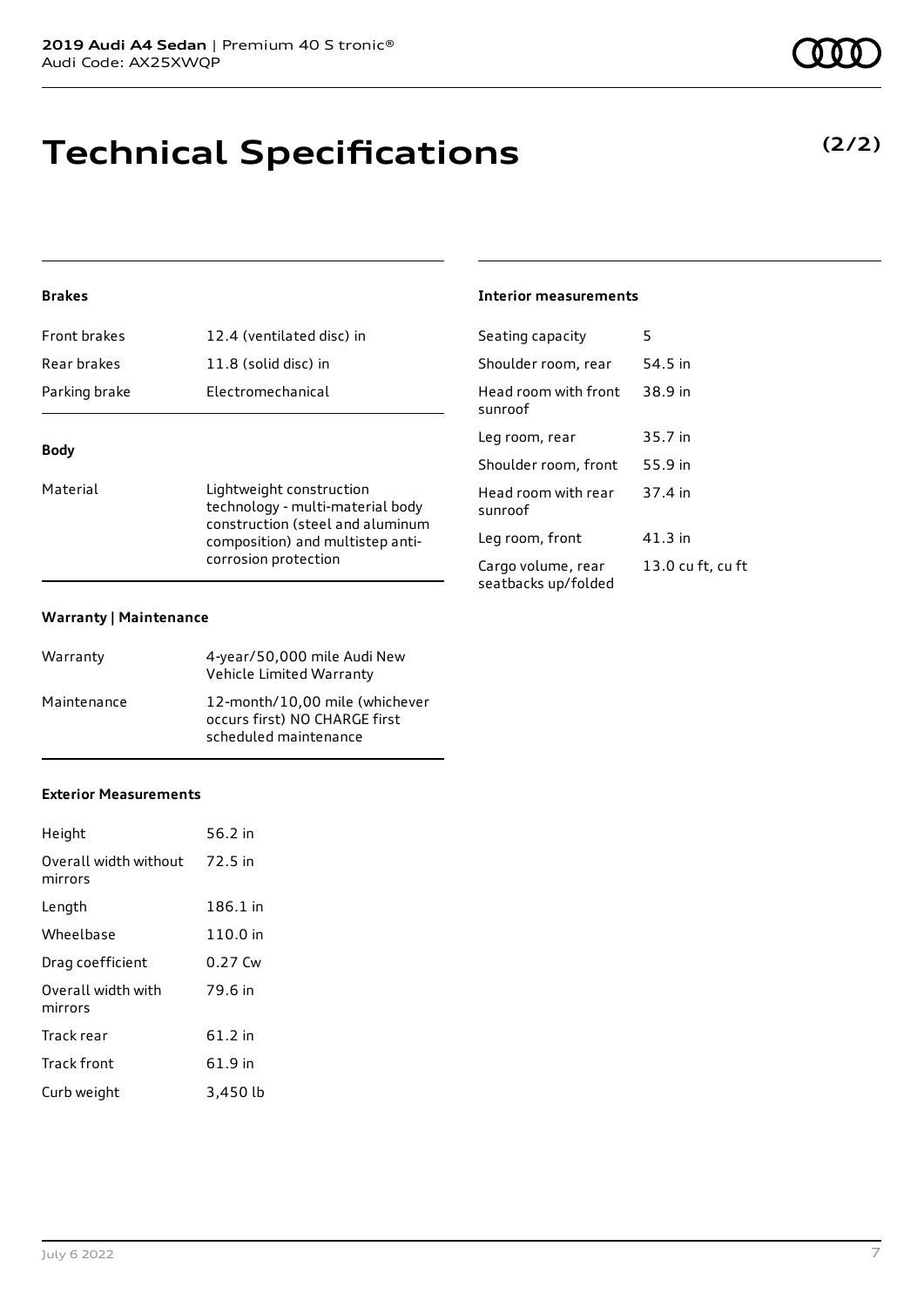# **Technical Specifications**

# **Brakes**

| <b>Rody</b>         |                           |
|---------------------|---------------------------|
| Parking brake       | Electromechanical         |
| Rear brakes         | 11.8 (solid disc) in      |
| <b>Front brakes</b> | 12.4 (ventilated disc) in |

# **Body**

Material **Lightweight construction** technology - multi-material body construction (steel and aluminum composition) and multistep anticorrosion protection

### **Warranty | Maintenance**

| Warranty    | 4-year/50,000 mile Audi New<br>Vehicle Limited Warranty                                  |
|-------------|------------------------------------------------------------------------------------------|
| Maintenance | 12-month/10,00 mile (whichever<br>occurs first) NO CHARGE first<br>scheduled maintenance |

### **Exterior Measurements**

| Height                           | 56.2 in   |
|----------------------------------|-----------|
| Overall width without<br>mirrors | 72.5 in   |
| Length                           | 186.1 in  |
| Wheelbase                        | 110.0 in  |
| Drag coefficient                 | $0.27$ Cw |
| Overall width with<br>mirrors    | 79.6 in   |
| Track rear                       | 61.2 in   |
| <b>Track front</b>               | 61.9 in   |
| Curb weight                      | 3,450 lb  |

### **Interior measurements**

| Seating capacity                          | 5                 |
|-------------------------------------------|-------------------|
| Shoulder room, rear                       | 54.5 in           |
| Head room with front<br>sunroof           | 38.9 in           |
| Leg room, rear                            | 35.7 in           |
| Shoulder room, front                      | 55.9 in           |
| Head room with rear<br>sunroof            | 37.4 in           |
| Leg room, front                           | 41.3 in           |
| Cargo volume, rear<br>seatbacks up/folded | 13.0 cu ft, cu ft |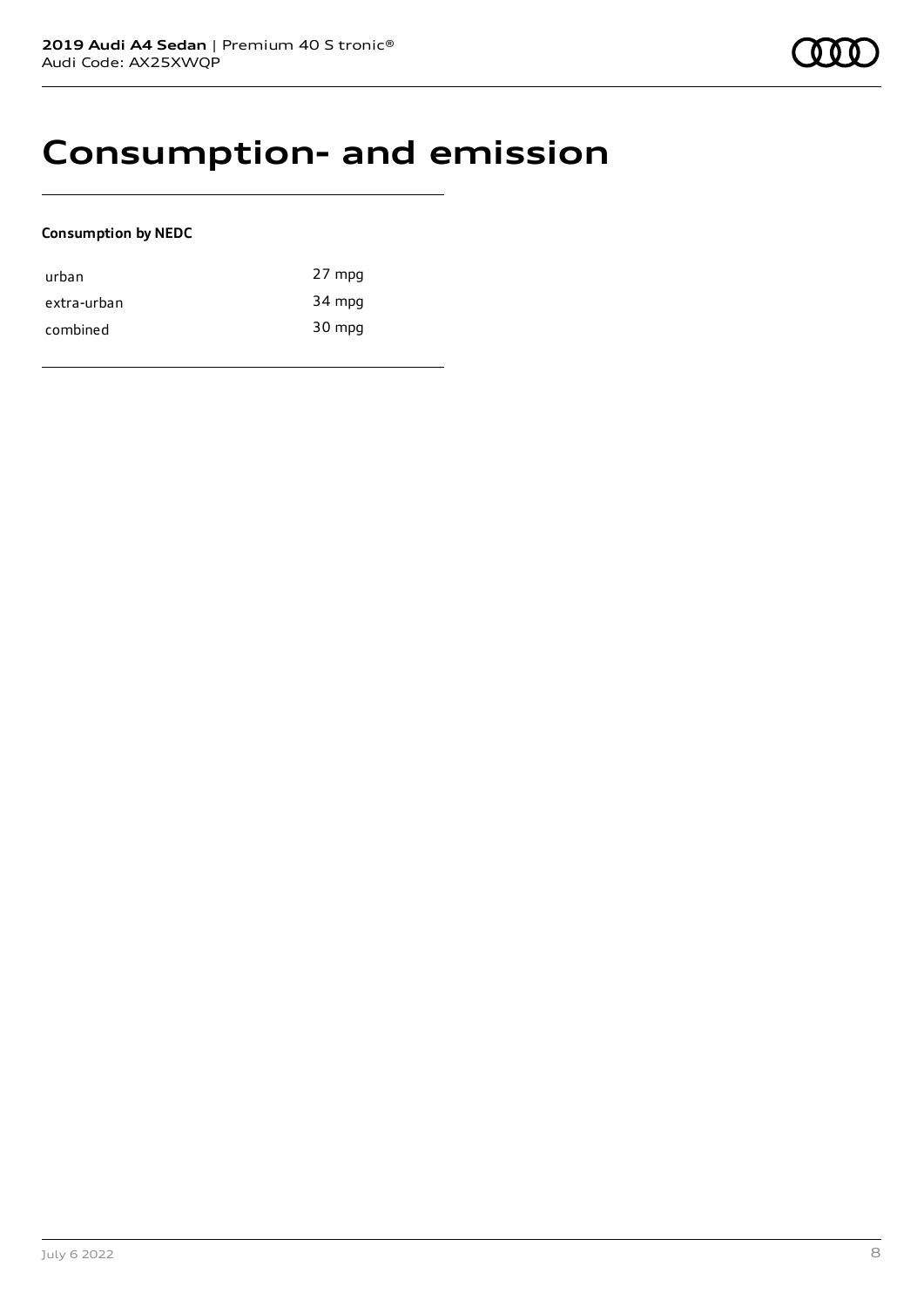# **Consumption- and emission**

# **Consumption by NEDC**

| urban       | 27 mpg |
|-------------|--------|
| extra-urban | 34 mpg |
| combined    | 30 mpg |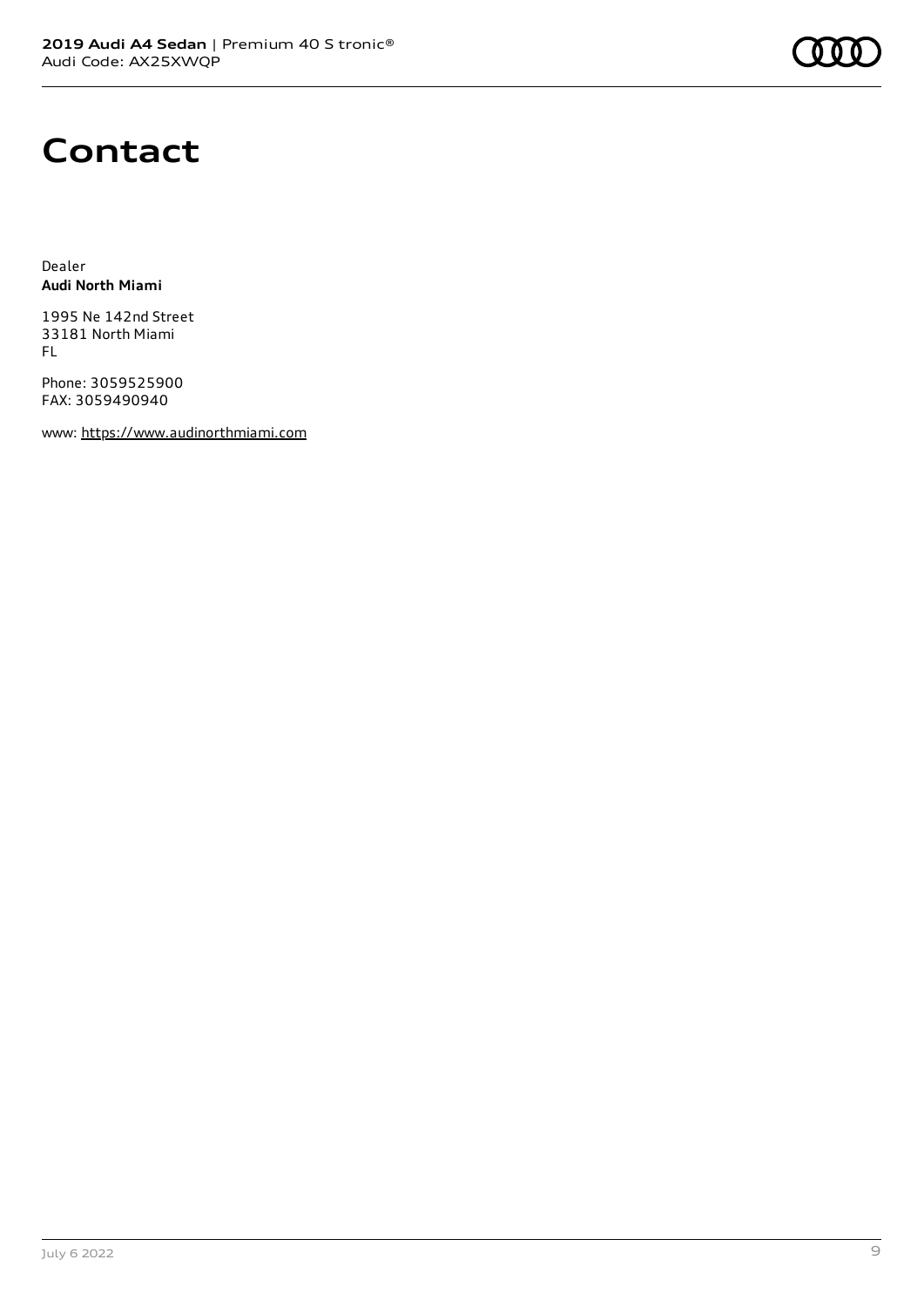

# **Contact**

Dealer **Audi North Miami**

1995 Ne 142nd Street 33181 North Miami FL

Phone: 3059525900 FAX: 3059490940

www: [https://www.audinorthmiami.com](https://www.audinorthmiami.com/)